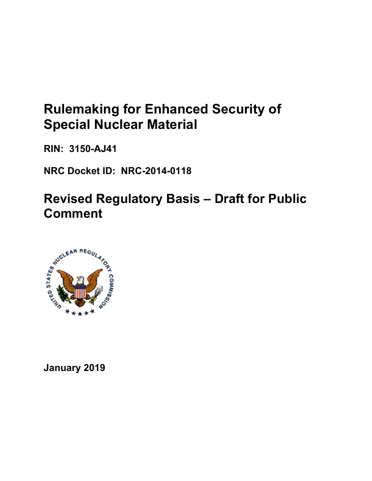# **Rulemaking for Enhanced Security of Special Nuclear Material**

**RIN: 3150-AJ41** 

**NRC Docket ID: NRC-2014-0118** 

**Revised Regulatory Basis – Draft for Public Comment** 



**January 2019**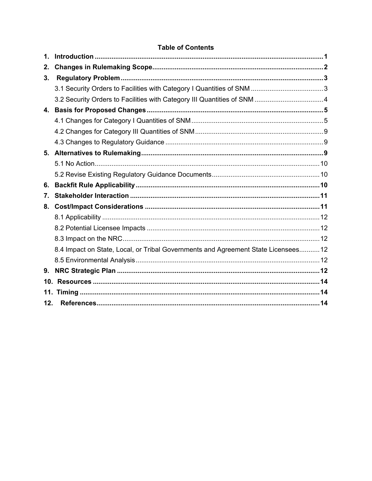# **Table of Contents**

| 1.  |                                                                                    |  |
|-----|------------------------------------------------------------------------------------|--|
| 2.  |                                                                                    |  |
| 3.  |                                                                                    |  |
|     |                                                                                    |  |
|     |                                                                                    |  |
| 4.  |                                                                                    |  |
|     |                                                                                    |  |
|     |                                                                                    |  |
|     |                                                                                    |  |
| 5.  |                                                                                    |  |
|     |                                                                                    |  |
|     |                                                                                    |  |
| 6.  |                                                                                    |  |
| 7.  |                                                                                    |  |
| 8.  |                                                                                    |  |
|     |                                                                                    |  |
|     |                                                                                    |  |
|     |                                                                                    |  |
|     | 8.4 Impact on State, Local, or Tribal Governments and Agreement State Licensees 12 |  |
|     |                                                                                    |  |
| 9.  |                                                                                    |  |
|     |                                                                                    |  |
|     |                                                                                    |  |
| 12. |                                                                                    |  |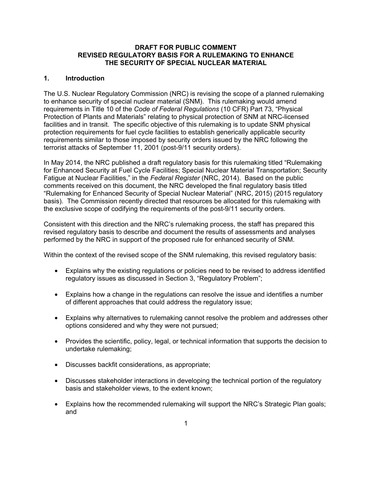## **DRAFT FOR PUBLIC COMMENT REVISED REGULATORY BASIS FOR A RULEMAKING TO ENHANCE THE SECURITY OF SPECIAL NUCLEAR MATERIAL**

# **1. Introduction**

The U.S. Nuclear Regulatory Commission (NRC) is revising the scope of a planned rulemaking to enhance security of special nuclear material (SNM). This rulemaking would amend requirements in Title 10 of the *Code of Federal Regulations* (10 CFR) Part 73, "Physical Protection of Plants and Materials" relating to physical protection of SNM at NRC-licensed facilities and in transit. The specific objective of this rulemaking is to update SNM physical protection requirements for fuel cycle facilities to establish generically applicable security requirements similar to those imposed by security orders issued by the NRC following the terrorist attacks of September 11, 2001 (post-9/11 security orders).

In May 2014, the NRC published a draft regulatory basis for this rulemaking titled "Rulemaking for Enhanced Security at Fuel Cycle Facilities; Special Nuclear Material Transportation; Security Fatigue at Nuclear Facilities," in the *Federal Register* (NRC, 2014). Based on the public comments received on this document, the NRC developed the final regulatory basis titled "Rulemaking for Enhanced Security of Special Nuclear Material" (NRC, 2015) (2015 regulatory basis). The Commission recently directed that resources be allocated for this rulemaking with the exclusive scope of codifying the requirements of the post-9/11 security orders.

Consistent with this direction and the NRC's rulemaking process, the staff has prepared this revised regulatory basis to describe and document the results of assessments and analyses performed by the NRC in support of the proposed rule for enhanced security of SNM.

Within the context of the revised scope of the SNM rulemaking, this revised regulatory basis:

- Explains why the existing regulations or policies need to be revised to address identified regulatory issues as discussed in Section 3, "Regulatory Problem";
- Explains how a change in the regulations can resolve the issue and identifies a number of different approaches that could address the regulatory issue;
- Explains why alternatives to rulemaking cannot resolve the problem and addresses other options considered and why they were not pursued;
- Provides the scientific, policy, legal, or technical information that supports the decision to undertake rulemaking;
- Discusses backfit considerations, as appropriate;
- Discusses stakeholder interactions in developing the technical portion of the regulatory basis and stakeholder views, to the extent known;
- Explains how the recommended rulemaking will support the NRC's Strategic Plan goals; and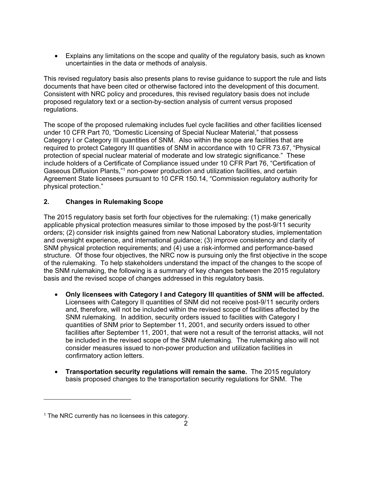• Explains any limitations on the scope and quality of the regulatory basis, such as known uncertainties in the data or methods of analysis.

This revised regulatory basis also presents plans to revise guidance to support the rule and lists documents that have been cited or otherwise factored into the development of this document. Consistent with NRC policy and procedures, this revised regulatory basis does not include proposed regulatory text or a section-by-section analysis of current versus proposed regulations.

The scope of the proposed rulemaking includes fuel cycle facilities and other facilities licensed under 10 CFR Part 70, "Domestic Licensing of Special Nuclear Material," that possess Category I or Category III quantities of SNM. Also within the scope are facilities that are required to protect Category III quantities of SNM in accordance with 10 CFR 73.67, "Physical protection of special nuclear material of moderate and low strategic significance." These include holders of a Certificate of Compliance issued under 10 CFR Part 76, "Certification of Gaseous Diffusion Plants,"1 non-power production and utilization facilities, and certain Agreement State licensees pursuant to 10 CFR 150.14, "Commission regulatory authority for physical protection."

# **2. Changes in Rulemaking Scope**

The 2015 regulatory basis set forth four objectives for the rulemaking: (1) make generically applicable physical protection measures similar to those imposed by the post-9/11 security orders; (2) consider risk insights gained from new National Laboratory studies, implementation and oversight experience, and international guidance; (3) improve consistency and clarity of SNM physical protection requirements; and (4) use a risk-informed and performance-based structure. Of those four objectives, the NRC now is pursuing only the first objective in the scope of the rulemaking. To help stakeholders understand the impact of the changes to the scope of the SNM rulemaking, the following is a summary of key changes between the 2015 regulatory basis and the revised scope of changes addressed in this regulatory basis.

- **Only licensees with Category I and Category III quantities of SNM will be affected.** Licensees with Category II quantities of SNM did not receive post-9/11 security orders and, therefore, will not be included within the revised scope of facilities affected by the SNM rulemaking. In addition, security orders issued to facilities with Category I quantities of SNM prior to September 11, 2001, and security orders issued to other facilities after September 11, 2001, that were not a result of the terrorist attacks, will not be included in the revised scope of the SNM rulemaking. The rulemaking also will not consider measures issued to non-power production and utilization facilities in confirmatory action letters.
- **Transportation security regulations will remain the same.** The 2015 regulatory basis proposed changes to the transportation security regulations for SNM.The

1

 $1$  The NRC currently has no licensees in this category.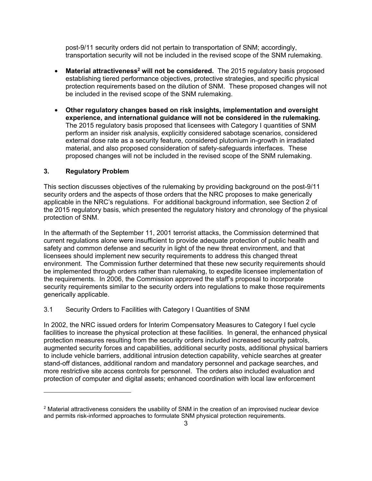post-9/11 security orders did not pertain to transportation of SNM; accordingly, transportation security will not be included in the revised scope of the SNM rulemaking.

- Material attractiveness<sup>2</sup> will not be considered. The 2015 regulatory basis proposed establishing tiered performance objectives, protective strategies, and specific physical protection requirements based on the dilution of SNM. These proposed changes will not be included in the revised scope of the SNM rulemaking.
- **Other regulatory changes based on risk insights, implementation and oversight experience, and international guidance will not be considered in the rulemaking.** The 2015 regulatory basis proposed that licensees with Category I quantities of SNM perform an insider risk analysis, explicitly considered sabotage scenarios, considered external dose rate as a security feature, considered plutonium in-growth in irradiated material, and also proposed consideration of safety-safeguards interfaces. These proposed changes will not be included in the revised scope of the SNM rulemaking.

# **3. Regulatory Problem**

 $\overline{a}$ 

This section discusses objectives of the rulemaking by providing background on the post-9/11 security orders and the aspects of those orders that the NRC proposes to make generically applicable in the NRC's regulations. For additional background information, see Section 2 of the 2015 regulatory basis, which presented the regulatory history and chronology of the physical protection of SNM.

In the aftermath of the September 11, 2001 terrorist attacks, the Commission determined that current regulations alone were insufficient to provide adequate protection of public health and safety and common defense and security in light of the new threat environment, and that licensees should implement new security requirements to address this changed threat environment. The Commission further determined that these new security requirements should be implemented through orders rather than rulemaking, to expedite licensee implementation of the requirements. In 2006, the Commission approved the staff's proposal to incorporate security requirements similar to the security orders into regulations to make those requirements generically applicable.

## 3.1 Security Orders to Facilities with Category I Quantities of SNM

In 2002, the NRC issued orders for Interim Compensatory Measures to Category I fuel cycle facilities to increase the physical protection at these facilities. In general, the enhanced physical protection measures resulting from the security orders included increased security patrols, augmented security forces and capabilities, additional security posts, additional physical barriers to include vehicle barriers, additional intrusion detection capability, vehicle searches at greater stand-off distances, additional random and mandatory personnel and package searches, and more restrictive site access controls for personnel. The orders also included evaluation and protection of computer and digital assets; enhanced coordination with local law enforcement

<sup>&</sup>lt;sup>2</sup> Material attractiveness considers the usability of SNM in the creation of an improvised nuclear device and permits risk-informed approaches to formulate SNM physical protection requirements.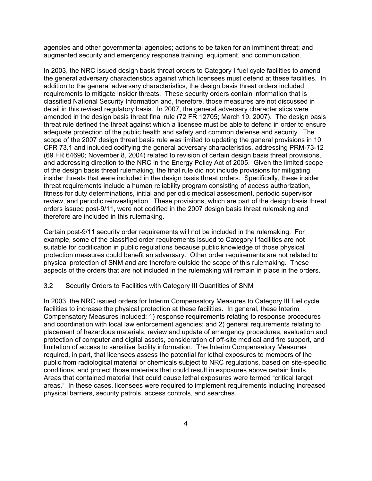agencies and other governmental agencies; actions to be taken for an imminent threat; and augmented security and emergency response training, equipment, and communication.

In 2003, the NRC issued design basis threat orders to Category I fuel cycle facilities to amend the general adversary characteristics against which licensees must defend at these facilities. In addition to the general adversary characteristics, the design basis threat orders included requirements to mitigate insider threats. These security orders contain information that is classified National Security Information and, therefore, those measures are not discussed in detail in this revised regulatory basis. In 2007, the general adversary characteristics were amended in the design basis threat final rule (72 FR 12705; March 19, 2007). The design basis threat rule defined the threat against which a licensee must be able to defend in order to ensure adequate protection of the public health and safety and common defense and security. The scope of the 2007 design threat basis rule was limited to updating the general provisions in 10 CFR 73.1 and included codifying the general adversary characteristics, addressing PRM-73-12 (69 FR 64690; November 8, 2004) related to revision of certain design basis threat provisions, and addressing direction to the NRC in the Energy Policy Act of 2005. Given the limited scope of the design basis threat rulemaking, the final rule did not include provisions for mitigating insider threats that were included in the design basis threat orders. Specifically, these insider threat requirements include a human reliability program consisting of access authorization, fitness for duty determinations, initial and periodic medical assessment, periodic supervisor review, and periodic reinvestigation. These provisions, which are part of the design basis threat orders issued post-9/11, were not codified in the 2007 design basis threat rulemaking and therefore are included in this rulemaking.

Certain post-9/11 security order requirements will not be included in the rulemaking. For example, some of the classified order requirements issued to Category I facilities are not suitable for codification in public regulations because public knowledge of those physical protection measures could benefit an adversary. Other order requirements are not related to physical protection of SNM and are therefore outside the scope of this rulemaking. These aspects of the orders that are not included in the rulemaking will remain in place in the orders.

#### 3.2 Security Orders to Facilities with Category III Quantities of SNM

In 2003, the NRC issued orders for Interim Compensatory Measures to Category III fuel cycle facilities to increase the physical protection at these facilities. In general, these Interim Compensatory Measures included: 1) response requirements relating to response procedures and coordination with local law enforcement agencies; and 2) general requirements relating to placement of hazardous materials, review and update of emergency procedures, evaluation and protection of computer and digital assets, consideration of off-site medical and fire support, and limitation of access to sensitive facility information. The Interim Compensatory Measures required, in part, that licensees assess the potential for lethal exposures to members of the public from radiological material or chemicals subject to NRC regulations, based on site-specific conditions, and protect those materials that could result in exposures above certain limits. Areas that contained material that could cause lethal exposures were termed "critical target areas." In these cases, licensees were required to implement requirements including increased physical barriers, security patrols, access controls, and searches.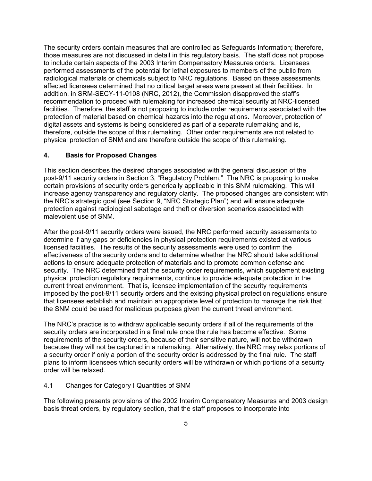The security orders contain measures that are controlled as Safeguards Information; therefore, those measures are not discussed in detail in this regulatory basis. The staff does not propose to include certain aspects of the 2003 Interim Compensatory Measures orders. Licensees performed assessments of the potential for lethal exposures to members of the public from radiological materials or chemicals subject to NRC regulations. Based on these assessments, affected licensees determined that no critical target areas were present at their facilities. In addition, in SRM-SECY-11-0108 (NRC, 2012), the Commission disapproved the staff's recommendation to proceed with rulemaking for increased chemical security at NRC-licensed facilities. Therefore, the staff is not proposing to include order requirements associated with the protection of material based on chemical hazards into the regulations. Moreover, protection of digital assets and systems is being considered as part of a separate rulemaking and is, therefore, outside the scope of this rulemaking. Other order requirements are not related to physical protection of SNM and are therefore outside the scope of this rulemaking.

## **4. Basis for Proposed Changes**

This section describes the desired changes associated with the general discussion of the post-9/11 security orders in Section 3, "Regulatory Problem." The NRC is proposing to make certain provisions of security orders generically applicable in this SNM rulemaking. This will increase agency transparency and regulatory clarity. The proposed changes are consistent with the NRC's strategic goal (see Section 9, "NRC Strategic Plan") and will ensure adequate protection against radiological sabotage and theft or diversion scenarios associated with malevolent use of SNM.

After the post-9/11 security orders were issued, the NRC performed security assessments to determine if any gaps or deficiencies in physical protection requirements existed at various licensed facilities. The results of the security assessments were used to confirm the effectiveness of the security orders and to determine whether the NRC should take additional actions to ensure adequate protection of materials and to promote common defense and security. The NRC determined that the security order requirements, which supplement existing physical protection regulatory requirements, continue to provide adequate protection in the current threat environment. That is, licensee implementation of the security requirements imposed by the post-9/11 security orders and the existing physical protection regulations ensure that licensees establish and maintain an appropriate level of protection to manage the risk that the SNM could be used for malicious purposes given the current threat environment.

The NRC's practice is to withdraw applicable security orders if all of the requirements of the security orders are incorporated in a final rule once the rule has become effective. Some requirements of the security orders, because of their sensitive nature, will not be withdrawn because they will not be captured in a rulemaking. Alternatively, the NRC may relax portions of a security order if only a portion of the security order is addressed by the final rule. The staff plans to inform licensees which security orders will be withdrawn or which portions of a security order will be relaxed.

## 4.1 Changes for Category I Quantities of SNM

The following presents provisions of the 2002 Interim Compensatory Measures and 2003 design basis threat orders, by regulatory section, that the staff proposes to incorporate into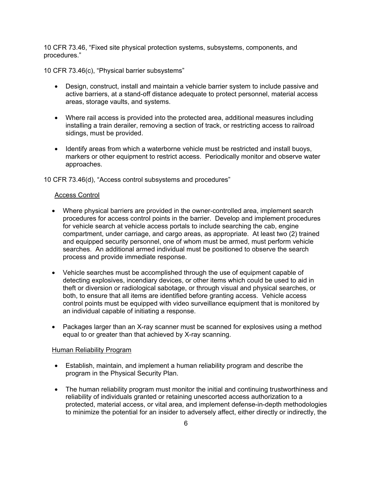10 CFR 73.46, "Fixed site physical protection systems, subsystems, components, and procedures."

10 CFR 73.46(c), "Physical barrier subsystems"

- Design, construct, install and maintain a vehicle barrier system to include passive and active barriers, at a stand-off distance adequate to protect personnel, material access areas, storage vaults, and systems.
- Where rail access is provided into the protected area, additional measures including installing a train derailer, removing a section of track, or restricting access to railroad sidings, must be provided.
- Identify areas from which a waterborne vehicle must be restricted and install buoys, markers or other equipment to restrict access. Periodically monitor and observe water approaches.

10 CFR 73.46(d), "Access control subsystems and procedures"

## Access Control

- Where physical barriers are provided in the owner-controlled area, implement search procedures for access control points in the barrier. Develop and implement procedures for vehicle search at vehicle access portals to include searching the cab, engine compartment, under carriage, and cargo areas, as appropriate. At least two (2) trained and equipped security personnel, one of whom must be armed, must perform vehicle searches. An additional armed individual must be positioned to observe the search process and provide immediate response.
- Vehicle searches must be accomplished through the use of equipment capable of detecting explosives, incendiary devices, or other items which could be used to aid in theft or diversion or radiological sabotage, or through visual and physical searches, or both, to ensure that all items are identified before granting access. Vehicle access control points must be equipped with video surveillance equipment that is monitored by an individual capable of initiating a response.
- Packages larger than an X-ray scanner must be scanned for explosives using a method equal to or greater than that achieved by X-ray scanning.

#### Human Reliability Program

- Establish, maintain, and implement a human reliability program and describe the program in the Physical Security Plan.
- The human reliability program must monitor the initial and continuing trustworthiness and reliability of individuals granted or retaining unescorted access authorization to a protected, material access, or vital area, and implement defense-in-depth methodologies to minimize the potential for an insider to adversely affect, either directly or indirectly, the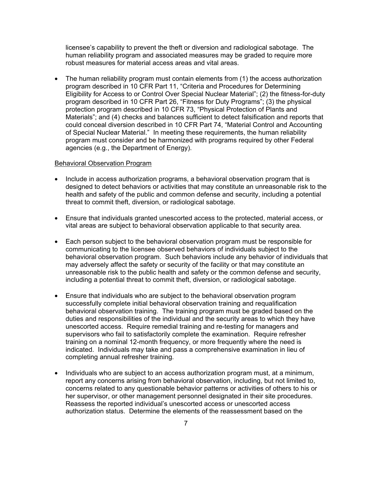licensee's capability to prevent the theft or diversion and radiological sabotage. The human reliability program and associated measures may be graded to require more robust measures for material access areas and vital areas.

• The human reliability program must contain elements from (1) the access authorization program described in 10 CFR Part 11, "Criteria and Procedures for Determining Eligibility for Access to or Control Over Special Nuclear Material"; (2) the fitness-for-duty program described in 10 CFR Part 26, "Fitness for Duty Programs"; (3) the physical protection program described in 10 CFR 73, "Physical Protection of Plants and Materials"; and (4) checks and balances sufficient to detect falsification and reports that could conceal diversion described in 10 CFR Part 74, "Material Control and Accounting of Special Nuclear Material." In meeting these requirements, the human reliability program must consider and be harmonized with programs required by other Federal agencies (e.g., the Department of Energy).

#### Behavioral Observation Program

- Include in access authorization programs, a behavioral observation program that is designed to detect behaviors or activities that may constitute an unreasonable risk to the health and safety of the public and common defense and security, including a potential threat to commit theft, diversion, or radiological sabotage.
- Ensure that individuals granted unescorted access to the protected, material access, or vital areas are subject to behavioral observation applicable to that security area.
- Each person subject to the behavioral observation program must be responsible for communicating to the licensee observed behaviors of individuals subject to the behavioral observation program. Such behaviors include any behavior of individuals that may adversely affect the safety or security of the facility or that may constitute an unreasonable risk to the public health and safety or the common defense and security, including a potential threat to commit theft, diversion, or radiological sabotage.
- Ensure that individuals who are subject to the behavioral observation program successfully complete initial behavioral observation training and requalification behavioral observation training. The training program must be graded based on the duties and responsibilities of the individual and the security areas to which they have unescorted access. Require remedial training and re-testing for managers and supervisors who fail to satisfactorily complete the examination. Require refresher training on a nominal 12-month frequency, or more frequently where the need is indicated. Individuals may take and pass a comprehensive examination in lieu of completing annual refresher training.
- Individuals who are subject to an access authorization program must, at a minimum, report any concerns arising from behavioral observation, including, but not limited to, concerns related to any questionable behavior patterns or activities of others to his or her supervisor, or other management personnel designated in their site procedures. Reassess the reported individual's unescorted access or unescorted access authorization status. Determine the elements of the reassessment based on the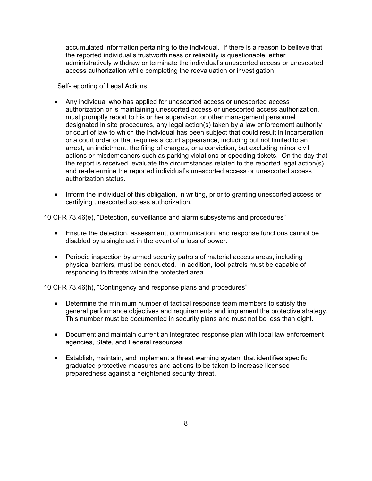accumulated information pertaining to the individual. If there is a reason to believe that the reported individual's trustworthiness or reliability is questionable, either administratively withdraw or terminate the individual's unescorted access or unescorted access authorization while completing the reevaluation or investigation.

#### Self-reporting of Legal Actions

- Any individual who has applied for unescorted access or unescorted access authorization or is maintaining unescorted access or unescorted access authorization, must promptly report to his or her supervisor, or other management personnel designated in site procedures, any legal action(s) taken by a law enforcement authority or court of law to which the individual has been subject that could result in incarceration or a court order or that requires a court appearance, including but not limited to an arrest, an indictment, the filing of charges, or a conviction, but excluding minor civil actions or misdemeanors such as parking violations or speeding tickets. On the day that the report is received, evaluate the circumstances related to the reported legal action(s) and re-determine the reported individual's unescorted access or unescorted access authorization status.
- Inform the individual of this obligation, in writing, prior to granting unescorted access or certifying unescorted access authorization.

10 CFR 73.46(e), "Detection, surveillance and alarm subsystems and procedures"

- Ensure the detection, assessment, communication, and response functions cannot be disabled by a single act in the event of a loss of power.
- Periodic inspection by armed security patrols of material access areas, including physical barriers, must be conducted. In addition, foot patrols must be capable of responding to threats within the protected area.

10 CFR 73.46(h), "Contingency and response plans and procedures"

- Determine the minimum number of tactical response team members to satisfy the general performance objectives and requirements and implement the protective strategy. This number must be documented in security plans and must not be less than eight.
- Document and maintain current an integrated response plan with local law enforcement agencies, State, and Federal resources.
- Establish, maintain, and implement a threat warning system that identifies specific graduated protective measures and actions to be taken to increase licensee preparedness against a heightened security threat.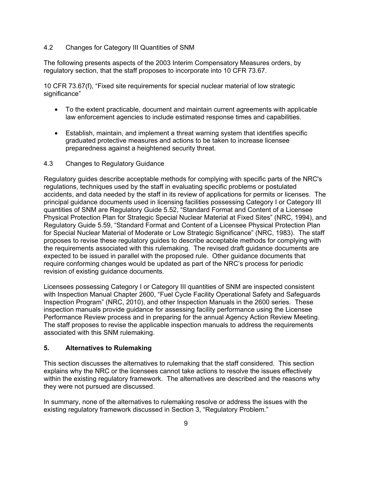# 4.2 Changes for Category III Quantities of SNM

The following presents aspects of the 2003 Interim Compensatory Measures orders, by regulatory section, that the staff proposes to incorporate into 10 CFR 73.67.

10 CFR 73.67(f), "Fixed site requirements for special nuclear material of low strategic significance"

- To the extent practicable, document and maintain current agreements with applicable law enforcement agencies to include estimated response times and capabilities.
- Establish, maintain, and implement a threat warning system that identifies specific graduated protective measures and actions to be taken to increase licensee preparedness against a heightened security threat.

# 4.3 Changes to Regulatory Guidance

Regulatory guides describe acceptable methods for complying with specific parts of the NRC's regulations, techniques used by the staff in evaluating specific problems or postulated accidents, and data needed by the staff in its review of applications for permits or licenses. The principal guidance documents used in licensing facilities possessing Category I or Category III quantities of SNM are Regulatory Guide 5.52, "Standard Format and Content of a Licensee Physical Protection Plan for Strategic Special Nuclear Material at Fixed Sites" (NRC, 1994), and Regulatory Guide 5.59, "Standard Format and Content of a Licensee Physical Protection Plan for Special Nuclear Material of Moderate or Low Strategic Significance" (NRC, 1983). The staff proposes to revise these regulatory guides to describe acceptable methods for complying with the requirements associated with this rulemaking. The revised draft guidance documents are expected to be issued in parallel with the proposed rule. Other guidance documents that require conforming changes would be updated as part of the NRC's process for periodic revision of existing guidance documents.

Licensees possessing Category I or Category III quantities of SNM are inspected consistent with Inspection Manual Chapter 2600, "Fuel Cycle Facility Operational Safety and Safeguards Inspection Program" (NRC, 2010), and other Inspection Manuals in the 2600 series. These inspection manuals provide guidance for assessing facility performance using the Licensee Performance Review process and in preparing for the annual Agency Action Review Meeting. The staff proposes to revise the applicable inspection manuals to address the requirements associated with this SNM rulemaking.

#### **5. Alternatives to Rulemaking**

This section discusses the alternatives to rulemaking that the staff considered. This section explains why the NRC or the licensees cannot take actions to resolve the issues effectively within the existing regulatory framework. The alternatives are described and the reasons why they were not pursued are discussed.

In summary, none of the alternatives to rulemaking resolve or address the issues with the existing regulatory framework discussed in Section 3, "Regulatory Problem."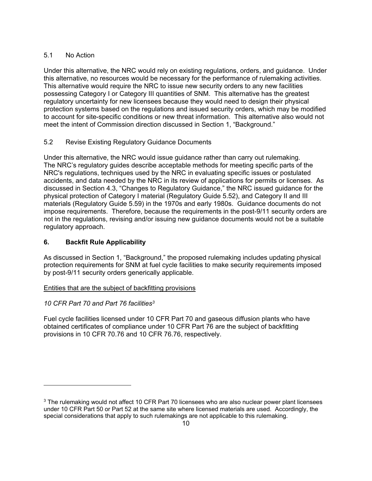# 5.1 No Action

Under this alternative, the NRC would rely on existing regulations, orders, and guidance. Under this alternative, no resources would be necessary for the performance of rulemaking activities. This alternative would require the NRC to issue new security orders to any new facilities possessing Category I or Category III quantities of SNM. This alternative has the greatest regulatory uncertainty for new licensees because they would need to design their physical protection systems based on the regulations and issued security orders, which may be modified to account for site-specific conditions or new threat information. This alternative also would not meet the intent of Commission direction discussed in Section 1, "Background."

# 5.2 Revise Existing Regulatory Guidance Documents

Under this alternative, the NRC would issue guidance rather than carry out rulemaking. The NRC's regulatory guides describe acceptable methods for meeting specific parts of the NRC's regulations, techniques used by the NRC in evaluating specific issues or postulated accidents, and data needed by the NRC in its review of applications for permits or licenses. As discussed in Section 4.3, "Changes to Regulatory Guidance," the NRC issued guidance for the physical protection of Category I material (Regulatory Guide 5.52), and Category II and III materials (Regulatory Guide 5.59) in the 1970s and early 1980s. Guidance documents do not impose requirements. Therefore, because the requirements in the post-9/11 security orders are not in the regulations, revising and/or issuing new guidance documents would not be a suitable regulatory approach.

# **6. Backfit Rule Applicability**

As discussed in Section 1, "Background," the proposed rulemaking includes updating physical protection requirements for SNM at fuel cycle facilities to make security requirements imposed by post-9/11 security orders generically applicable.

# Entities that are the subject of backfitting provisions

# *10 CFR Part 70 and Part 76 facilities3*

1

Fuel cycle facilities licensed under 10 CFR Part 70 and gaseous diffusion plants who have obtained certificates of compliance under 10 CFR Part 76 are the subject of backfitting provisions in 10 CFR 70.76 and 10 CFR 76.76, respectively.

<sup>&</sup>lt;sup>3</sup> The rulemaking would not affect 10 CFR Part 70 licensees who are also nuclear power plant licensees under 10 CFR Part 50 or Part 52 at the same site where licensed materials are used. Accordingly, the special considerations that apply to such rulemakings are not applicable to this rulemaking.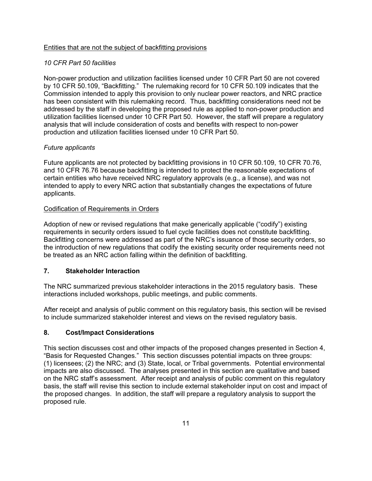# Entities that are not the subject of backfitting provisions

# *10 CFR Part 50 facilities*

Non-power production and utilization facilities licensed under 10 CFR Part 50 are not covered by 10 CFR 50.109, "Backfitting." The rulemaking record for 10 CFR 50.109 indicates that the Commission intended to apply this provision to only nuclear power reactors, and NRC practice has been consistent with this rulemaking record. Thus, backfitting considerations need not be addressed by the staff in developing the proposed rule as applied to non-power production and utilization facilities licensed under 10 CFR Part 50. However, the staff will prepare a regulatory analysis that will include consideration of costs and benefits with respect to non-power production and utilization facilities licensed under 10 CFR Part 50.

# *Future applicants*

Future applicants are not protected by backfitting provisions in 10 CFR 50.109, 10 CFR 70.76, and 10 CFR 76.76 because backfitting is intended to protect the reasonable expectations of certain entities who have received NRC regulatory approvals (e.g., a license), and was not intended to apply to every NRC action that substantially changes the expectations of future applicants.

# Codification of Requirements in Orders

Adoption of new or revised regulations that make generically applicable ("codify") existing requirements in security orders issued to fuel cycle facilities does not constitute backfitting. Backfitting concerns were addressed as part of the NRC's issuance of those security orders, so the introduction of new regulations that codify the existing security order requirements need not be treated as an NRC action falling within the definition of backfitting.

# **7. Stakeholder Interaction**

The NRC summarized previous stakeholder interactions in the 2015 regulatory basis. These interactions included workshops, public meetings, and public comments.

After receipt and analysis of public comment on this regulatory basis, this section will be revised to include summarized stakeholder interest and views on the revised regulatory basis.

# **8. Cost/Impact Considerations**

This section discusses cost and other impacts of the proposed changes presented in Section 4, "Basis for Requested Changes." This section discusses potential impacts on three groups: (1) licensees; (2) the NRC; and (3) State, local, or Tribal governments. Potential environmental impacts are also discussed. The analyses presented in this section are qualitative and based on the NRC staff's assessment. After receipt and analysis of public comment on this regulatory basis, the staff will revise this section to include external stakeholder input on cost and impact of the proposed changes. In addition, the staff will prepare a regulatory analysis to support the proposed rule.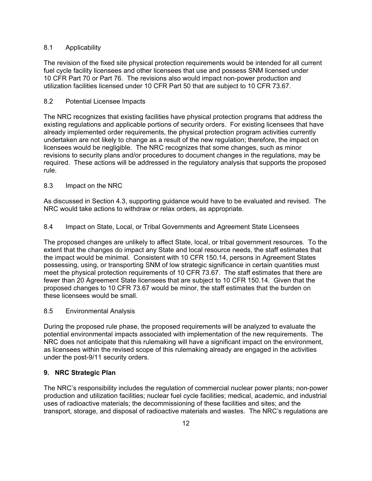# 8.1 Applicability

The revision of the fixed site physical protection requirements would be intended for all current fuel cycle facility licensees and other licensees that use and possess SNM licensed under 10 CFR Part 70 or Part 76. The revisions also would impact non-power production and utilization facilities licensed under 10 CFR Part 50 that are subject to 10 CFR 73.67.

# 8.2 Potential Licensee Impacts

The NRC recognizes that existing facilities have physical protection programs that address the existing regulations and applicable portions of security orders. For existing licensees that have already implemented order requirements, the physical protection program activities currently undertaken are not likely to change as a result of the new regulation; therefore, the impact on licensees would be negligible. The NRC recognizes that some changes, such as minor revisions to security plans and/or procedures to document changes in the regulations, may be required. These actions will be addressed in the regulatory analysis that supports the proposed rule.

# 8.3 Impact on the NRC

As discussed in Section 4.3, supporting guidance would have to be evaluated and revised. The NRC would take actions to withdraw or relax orders, as appropriate.

# 8.4 Impact on State, Local, or Tribal Governments and Agreement State Licensees

The proposed changes are unlikely to affect State, local, or tribal government resources. To the extent that the changes do impact any State and local resource needs, the staff estimates that the impact would be minimal. Consistent with 10 CFR 150.14, persons in Agreement States possessing, using, or transporting SNM of low strategic significance in certain quantities must meet the physical protection requirements of 10 CFR 73.67. The staff estimates that there are fewer than 20 Agreement State licensees that are subject to 10 CFR 150.14. Given that the proposed changes to 10 CFR 73.67 would be minor, the staff estimates that the burden on these licensees would be small.

## 8.5 Environmental Analysis

During the proposed rule phase, the proposed requirements will be analyzed to evaluate the potential environmental impacts associated with implementation of the new requirements. The NRC does not anticipate that this rulemaking will have a significant impact on the environment, as licensees within the revised scope of this rulemaking already are engaged in the activities under the post-9/11 security orders.

## **9. NRC Strategic Plan**

The NRC's responsibility includes the regulation of commercial nuclear power plants; non-power production and utilization facilities; nuclear fuel cycle facilities; medical, academic, and industrial uses of radioactive materials; the decommissioning of these facilities and sites; and the transport, storage, and disposal of radioactive materials and wastes. The NRC's regulations are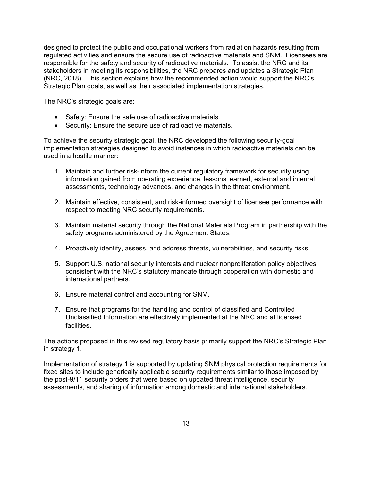designed to protect the public and occupational workers from radiation hazards resulting from regulated activities and ensure the secure use of radioactive materials and SNM. Licensees are responsible for the safety and security of radioactive materials. To assist the NRC and its stakeholders in meeting its responsibilities, the NRC prepares and updates a Strategic Plan (NRC, 2018). This section explains how the recommended action would support the NRC's Strategic Plan goals, as well as their associated implementation strategies.

The NRC's strategic goals are:

- Safety: Ensure the safe use of radioactive materials.
- Security: Ensure the secure use of radioactive materials.

To achieve the security strategic goal, the NRC developed the following security-goal implementation strategies designed to avoid instances in which radioactive materials can be used in a hostile manner:

- 1. Maintain and further risk-inform the current regulatory framework for security using information gained from operating experience, lessons learned, external and internal assessments, technology advances, and changes in the threat environment.
- 2. Maintain effective, consistent, and risk-informed oversight of licensee performance with respect to meeting NRC security requirements.
- 3. Maintain material security through the National Materials Program in partnership with the safety programs administered by the Agreement States.
- 4. Proactively identify, assess, and address threats, vulnerabilities, and security risks.
- 5. Support U.S. national security interests and nuclear nonproliferation policy objectives consistent with the NRC's statutory mandate through cooperation with domestic and international partners.
- 6. Ensure material control and accounting for SNM.
- 7. Ensure that programs for the handling and control of classified and Controlled Unclassified Information are effectively implemented at the NRC and at licensed facilities.

The actions proposed in this revised regulatory basis primarily support the NRC's Strategic Plan in strategy 1.

Implementation of strategy 1 is supported by updating SNM physical protection requirements for fixed sites to include generically applicable security requirements similar to those imposed by the post-9/11 security orders that were based on updated threat intelligence, security assessments, and sharing of information among domestic and international stakeholders.